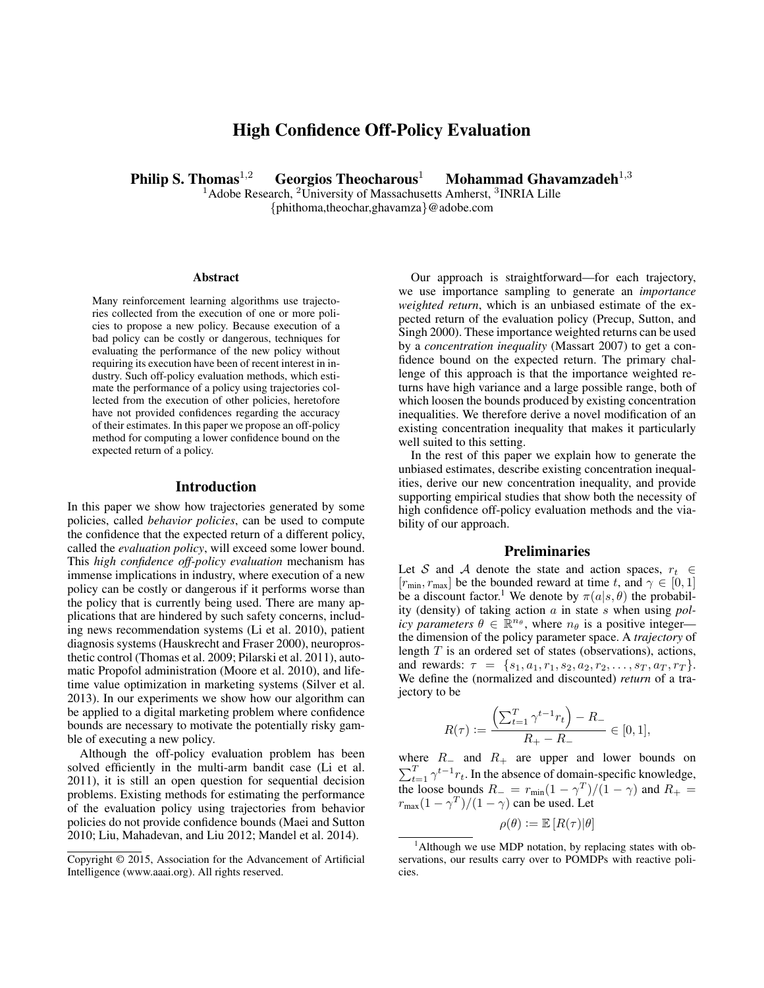# High Confidence Off-Policy Evaluation

Philip S. Thomas<sup>1,2</sup> Georgios Theocharous<sup>1</sup> Mohammad Ghavamzadeh<sup>1,3</sup>

 $1A$ dobe Research,  $2$ University of Massachusetts Amherst,  $3$ INRIA Lille {phithoma,theochar,ghavamza}@adobe.com

#### Abstract

Many reinforcement learning algorithms use trajectories collected from the execution of one or more policies to propose a new policy. Because execution of a bad policy can be costly or dangerous, techniques for evaluating the performance of the new policy without requiring its execution have been of recent interest in industry. Such off-policy evaluation methods, which estimate the performance of a policy using trajectories collected from the execution of other policies, heretofore have not provided confidences regarding the accuracy of their estimates. In this paper we propose an off-policy method for computing a lower confidence bound on the expected return of a policy.

## Introduction

In this paper we show how trajectories generated by some policies, called *behavior policies*, can be used to compute the confidence that the expected return of a different policy, called the *evaluation policy*, will exceed some lower bound. This *high confidence off-policy evaluation* mechanism has immense implications in industry, where execution of a new policy can be costly or dangerous if it performs worse than the policy that is currently being used. There are many applications that are hindered by such safety concerns, including news recommendation systems (Li et al. 2010), patient diagnosis systems (Hauskrecht and Fraser 2000), neuroprosthetic control (Thomas et al. 2009; Pilarski et al. 2011), automatic Propofol administration (Moore et al. 2010), and lifetime value optimization in marketing systems (Silver et al. 2013). In our experiments we show how our algorithm can be applied to a digital marketing problem where confidence bounds are necessary to motivate the potentially risky gamble of executing a new policy.

Although the off-policy evaluation problem has been solved efficiently in the multi-arm bandit case (Li et al. 2011), it is still an open question for sequential decision problems. Existing methods for estimating the performance of the evaluation policy using trajectories from behavior policies do not provide confidence bounds (Maei and Sutton 2010; Liu, Mahadevan, and Liu 2012; Mandel et al. 2014).

Our approach is straightforward—for each trajectory, we use importance sampling to generate an *importance weighted return*, which is an unbiased estimate of the expected return of the evaluation policy (Precup, Sutton, and Singh 2000). These importance weighted returns can be used by a *concentration inequality* (Massart 2007) to get a confidence bound on the expected return. The primary challenge of this approach is that the importance weighted returns have high variance and a large possible range, both of which loosen the bounds produced by existing concentration inequalities. We therefore derive a novel modification of an existing concentration inequality that makes it particularly well suited to this setting.

In the rest of this paper we explain how to generate the unbiased estimates, describe existing concentration inequalities, derive our new concentration inequality, and provide supporting empirical studies that show both the necessity of high confidence off-policy evaluation methods and the viability of our approach.

## **Preliminaries**

Let S and A denote the state and action spaces,  $r_t \in$  $[r_{\min}, r_{\max}]$  be the bounded reward at time t, and  $\gamma \in [0, 1]$ be a discount factor.<sup>1</sup> We denote by  $\pi(a|s, \theta)$  the probability (density) of taking action a in state s when using *policy parameters*  $\theta \in \mathbb{R}^{n_{\theta}}$ , where  $n_{\theta}$  is a positive integer the dimension of the policy parameter space. A *trajectory* of length  $T$  is an ordered set of states (observations), actions, and rewards:  $\tau = \{s_1, a_1, r_1, s_2, a_2, r_2, \ldots, s_T, a_T, r_T\}.$ We define the (normalized and discounted) *return* of a trajectory to be

$$
R(\tau) := \frac{\left(\sum_{t=1}^{T} \gamma^{t-1} r_t\right) - R_-}{R_+ - R_-} \in [0, 1],
$$

where  $R_$  and  $R_+$  are upper and lower bounds on  $\sum_{t=1}^{T} \gamma^{t-1} r_t$ . In the absence of domain-specific knowledge, the loose bounds  $R_- = r_{min}(1 - \gamma^T)/(1 - \gamma)$  and  $R_+ =$  $r_{\text{max}}(1 - \gamma^T)/(1 - \gamma)$  can be used. Let

 $\rho(\theta) \coloneqq \mathbb{E} [R(\tau)|\theta]$ 

Copyright © 2015, Association for the Advancement of Artificial Intelligence (www.aaai.org). All rights reserved.

 $<sup>1</sup>$ Although we use MDP notation, by replacing states with ob-</sup> servations, our results carry over to POMDPs with reactive policies.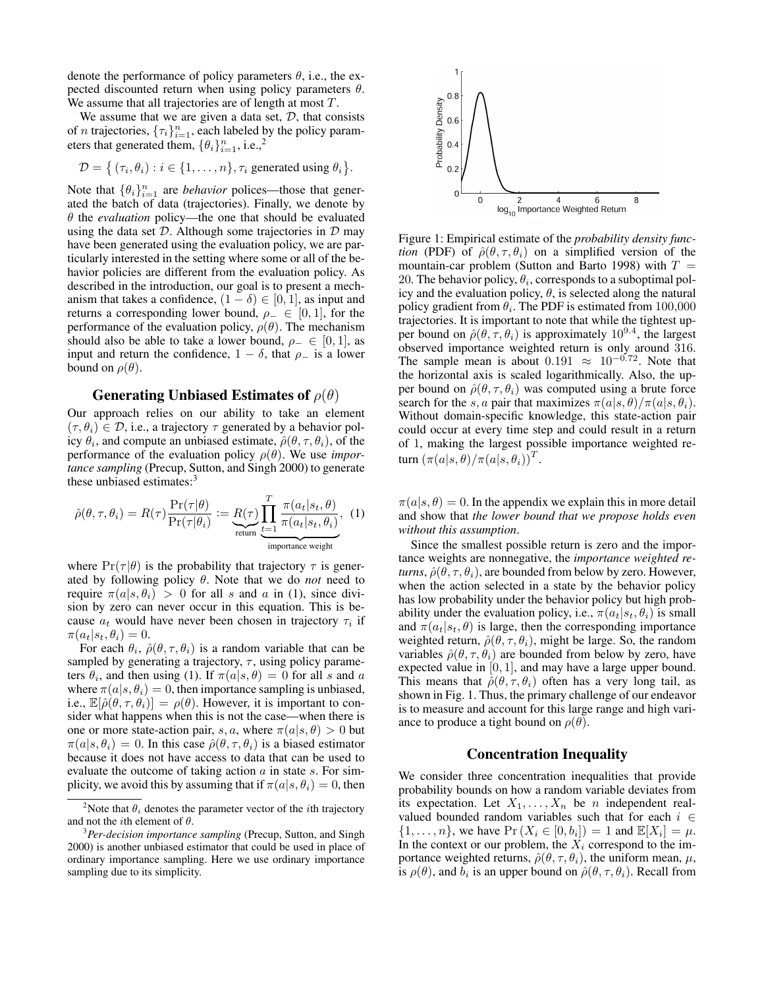denote the performance of policy parameters  $\theta$ , i.e., the expected discounted return when using policy parameters  $\theta$ . We assume that all trajectories are of length at most  $T$ .

We assume that we are given a data set,  $D$ , that consists of *n* trajectories,  $\{\tau_i\}_{i=1}^n$ , each labeled by the policy parameters that generated them,  $\{\theta_i\}_{i=1}^n$ , i.e.,<sup>2</sup>

$$
\mathcal{D} = \{ (\tau_i, \theta_i) : i \in \{1, \ldots, n\}, \tau_i \text{ generated using } \theta_i \}.
$$

Note that  $\{\theta_i\}_{i=1}^n$  are *behavior* polices—those that generated the batch of data (trajectories). Finally, we denote by  $\theta$  the *evaluation* policy—the one that should be evaluated using the data set  $D$ . Although some trajectories in  $D$  may have been generated using the evaluation policy, we are particularly interested in the setting where some or all of the behavior policies are different from the evaluation policy. As described in the introduction, our goal is to present a mechanism that takes a confidence,  $(1 - \delta) \in [0, 1]$ , as input and returns a corresponding lower bound,  $\rho_-\in [0,1]$ , for the performance of the evaluation policy,  $\rho(\theta)$ . The mechanism should also be able to take a lower bound,  $\rho_-\in [0,1]$ , as input and return the confidence,  $1 - \delta$ , that  $\rho$ <sub>-</sub> is a lower bound on  $\rho(\theta)$ .

## Generating Unbiased Estimates of  $\rho(\theta)$

Our approach relies on our ability to take an element  $(\tau, \theta_i) \in \mathcal{D}$ , i.e., a trajectory  $\tau$  generated by a behavior policy  $\theta_i$ , and compute an unbiased estimate,  $\hat{\rho}(\theta, \tau, \theta_i)$ , of the performance of the evaluation policy  $\rho(\theta)$ . We use *importance sampling* (Precup, Sutton, and Singh 2000) to generate these unbiased estimates:<sup>3</sup>

$$
\hat{\rho}(\theta, \tau, \theta_i) = R(\tau) \frac{\Pr(\tau | \theta)}{\Pr(\tau | \theta_i)} := \underbrace{R(\tau)}_{\text{return}} \underbrace{\prod_{t=1}^{T} \frac{\pi(a_t | s_t, \theta)}{\pi(a_t | s_t, \theta_i)}}_{\text{importance weight}}, \quad (1)
$$

where  $Pr(\tau|\theta)$  is the probability that trajectory  $\tau$  is generated by following policy  $\theta$ . Note that we do *not* need to require  $\pi(a|s, \theta_i) > 0$  for all s and a in (1), since division by zero can never occur in this equation. This is because  $a_t$  would have never been chosen in trajectory  $\tau_i$  if  $\pi(a_t|s_t, \theta_i) = 0.$ 

For each  $\theta_i$ ,  $\hat{\rho}(\theta, \tau, \theta_i)$  is a random variable that can be sampled by generating a trajectory,  $\tau$ , using policy parameters  $\theta_i$ , and then using (1). If  $\pi(a|s,\theta) = 0$  for all s and a where  $\pi(a|s, \theta_i) = 0$ , then importance sampling is unbiased, i.e.,  $\mathbb{E}[\hat{\rho}(\theta, \tau, \theta_i)] = \rho(\theta)$ . However, it is important to consider what happens when this is not the case—when there is one or more state-action pair, s, a, where  $\pi(a|s,\theta) > 0$  but  $\pi(a|s, \theta_i) = 0$ . In this case  $\hat{\rho}(\theta, \tau, \theta_i)$  is a biased estimator because it does not have access to data that can be used to evaluate the outcome of taking action  $\alpha$  in state  $\alpha$ . For simplicity, we avoid this by assuming that if  $\pi(a|s, \theta_i) = 0$ , then



Figure 1: Empirical estimate of the *probability density function* (PDF) of  $\hat{\rho}(\theta, \tau, \theta_i)$  on a simplified version of the mountain-car problem (Sutton and Barto 1998) with  $T =$ 20. The behavior policy,  $\theta_i$ , corresponds to a suboptimal policy and the evaluation policy,  $\theta$ , is selected along the natural policy gradient from  $\theta_i$ . The PDF is estimated from 100,000 trajectories. It is important to note that while the tightest upper bound on  $\hat{\rho}(\theta, \tau, \theta_i)$  is approximately  $10^{9.4}$ , the largest observed importance weighted return is only around 316. The sample mean is about  $0.191 \approx 10^{-0.72}$ . Note that the horizontal axis is scaled logarithmically. Also, the upper bound on  $\hat{\rho}(\theta, \tau, \theta_i)$  was computed using a brute force search for the s, a pair that maximizes  $\pi(a|s, \theta)/\pi(a|s, \theta_i)$ . Without domain-specific knowledge, this state-action pair could occur at every time step and could result in a return of 1, making the largest possible importance weighted return  $(\pi(a|s,\theta)/\pi(a|s,\theta_i))^T$ .

 $\pi(a|s,\theta) = 0$ . In the appendix we explain this in more detail and show that *the lower bound that we propose holds even without this assumption*.

Since the smallest possible return is zero and the importance weights are nonnegative, the *importance weighted returns*,  $\hat{\rho}(\theta, \tau, \theta_i)$ , are bounded from below by zero. However, when the action selected in a state by the behavior policy has low probability under the behavior policy but high probability under the evaluation policy, i.e.,  $\pi(a_t|s_t, \theta_i)$  is small and  $\pi(a_t|s_t, \theta)$  is large, then the corresponding importance weighted return,  $\hat{\rho}(\theta, \tau, \theta_i)$ , might be large. So, the random variables  $\hat{\rho}(\theta, \tau, \theta_i)$  are bounded from below by zero, have expected value in [0, 1], and may have a large upper bound. This means that  $\hat{\rho}(\theta, \tau, \theta_i)$  often has a very long tail, as shown in Fig. 1. Thus, the primary challenge of our endeavor is to measure and account for this large range and high variance to produce a tight bound on  $\rho(\theta)$ .

## Concentration Inequality

We consider three concentration inequalities that provide probability bounds on how a random variable deviates from its expectation. Let  $X_1, \ldots, X_n$  be *n* independent realvalued bounded random variables such that for each  $i \in$  $\{1,\ldots,n\}$ , we have  $\Pr(X_i \in [0,b_i]) = 1$  and  $\mathbb{E}[X_i] = \mu$ . In the context or our problem, the  $X_i$  correspond to the importance weighted returns,  $\hat{\rho}(\theta, \tau, \theta_i)$ , the uniform mean,  $\mu$ , is  $\rho(\theta)$ , and  $b_i$  is an upper bound on  $\hat{\rho}(\theta, \tau, \theta_i)$ . Recall from

<sup>&</sup>lt;sup>2</sup>Note that  $\theta_i$  denotes the parameter vector of the *i*th trajectory and not the *i*th element of  $\theta$ .

<sup>3</sup>*Per-decision importance sampling* (Precup, Sutton, and Singh 2000) is another unbiased estimator that could be used in place of ordinary importance sampling. Here we use ordinary importance sampling due to its simplicity.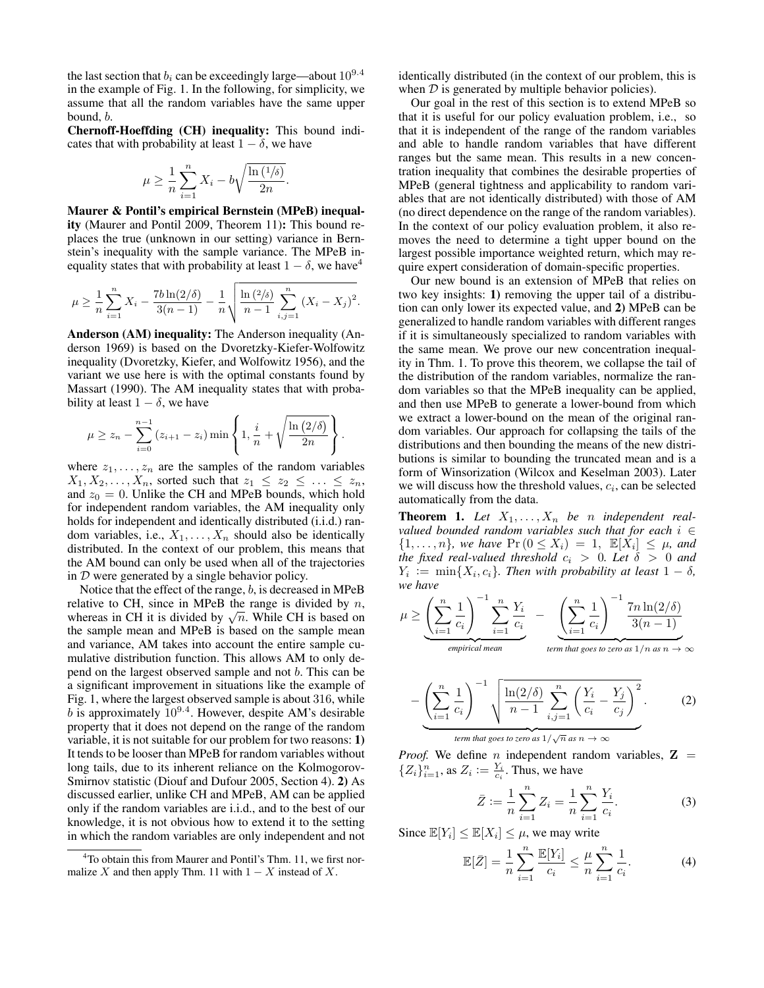the last section that  $b_i$  can be exceedingly large—about  $10^{9.4}$ in the example of Fig. 1. In the following, for simplicity, we assume that all the random variables have the same upper bound, b.

Chernoff-Hoeffding (CH) inequality: This bound indicates that with probability at least  $1 - \delta$ , we have

$$
\mu \ge \frac{1}{n} \sum_{i=1}^{n} X_i - b \sqrt{\frac{\ln(1/\delta)}{2n}}
$$

.

.

Maurer & Pontil's empirical Bernstein (MPeB) inequality (Maurer and Pontil 2009, Theorem 11): This bound replaces the true (unknown in our setting) variance in Bernstein's inequality with the sample variance. The MPeB inequality states that with probability at least  $1 - \delta$ , we have<sup>4</sup>

$$
\mu \geq \frac{1}{n} \sum_{i=1}^{n} X_i - \frac{7b \ln(2/\delta)}{3(n-1)} - \frac{1}{n} \sqrt{\frac{\ln(2/\delta)}{n-1} \sum_{i,j=1}^{n} (X_i - X_j)^2}.
$$

Anderson (AM) inequality: The Anderson inequality (Anderson 1969) is based on the Dvoretzky-Kiefer-Wolfowitz inequality (Dvoretzky, Kiefer, and Wolfowitz 1956), and the variant we use here is with the optimal constants found by Massart (1990). The AM inequality states that with probability at least  $1 - \delta$ , we have

$$
\mu \ge z_n - \sum_{i=0}^{n-1} (z_{i+1} - z_i) \min \left\{ 1, \frac{i}{n} + \sqrt{\frac{\ln (2/\delta)}{2n}} \right\}
$$

where  $z_1, \ldots, z_n$  are the samples of the random variables  $X_1, X_2, \ldots, X_n$ , sorted such that  $z_1 \leq z_2 \leq \ldots \leq z_n$ , and  $z_0 = 0$ . Unlike the CH and MPeB bounds, which hold for independent random variables, the AM inequality only holds for independent and identically distributed (i.i.d.) random variables, i.e.,  $X_1, \ldots, X_n$  should also be identically distributed. In the context of our problem, this means that the AM bound can only be used when all of the trajectories in  $D$  were generated by a single behavior policy.

Notice that the effect of the range, b, is decreased in MPeB relative to CH, since in MPeB the range is divided by  $n$ , relative to CH, since in MPeB the range is divided by  $n$ , whereas in CH it is divided by  $\sqrt{n}$ . While CH is based on the sample mean and MPeB is based on the sample mean and variance, AM takes into account the entire sample cumulative distribution function. This allows AM to only depend on the largest observed sample and not b. This can be a significant improvement in situations like the example of Fig. 1, where the largest observed sample is about 316, while b is approximately  $10^{9.4}$ . However, despite AM's desirable property that it does not depend on the range of the random variable, it is not suitable for our problem for two reasons: 1) It tends to be looser than MPeB for random variables without long tails, due to its inherent reliance on the Kolmogorov-Smirnov statistic (Diouf and Dufour 2005, Section 4). 2) As discussed earlier, unlike CH and MPeB, AM can be applied only if the random variables are i.i.d., and to the best of our knowledge, it is not obvious how to extend it to the setting in which the random variables are only independent and not

identically distributed (in the context of our problem, this is when  $D$  is generated by multiple behavior policies).

Our goal in the rest of this section is to extend MPeB so that it is useful for our policy evaluation problem, i.e., so that it is independent of the range of the random variables and able to handle random variables that have different ranges but the same mean. This results in a new concentration inequality that combines the desirable properties of MPeB (general tightness and applicability to random variables that are not identically distributed) with those of AM (no direct dependence on the range of the random variables). In the context of our policy evaluation problem, it also removes the need to determine a tight upper bound on the largest possible importance weighted return, which may require expert consideration of domain-specific properties.

Our new bound is an extension of MPeB that relies on two key insights: 1) removing the upper tail of a distribution can only lower its expected value, and 2) MPeB can be generalized to handle random variables with different ranges if it is simultaneously specialized to random variables with the same mean. We prove our new concentration inequality in Thm. 1. To prove this theorem, we collapse the tail of the distribution of the random variables, normalize the random variables so that the MPeB inequality can be applied, and then use MPeB to generate a lower-bound from which we extract a lower-bound on the mean of the original random variables. Our approach for collapsing the tails of the distributions and then bounding the means of the new distributions is similar to bounding the truncated mean and is a form of Winsorization (Wilcox and Keselman 2003). Later we will discuss how the threshold values,  $c_i$ , can be selected automatically from the data.

**Theorem 1.** Let  $X_1, \ldots, X_n$  be *n* independent real*valued bounded random variables such that for each* i ∈  $\{1, \ldots, n\}$ , we have  $\Pr(0 \le X_i) = 1$ ,  $\mathbb{E}[X_i] \le \mu$ , and *the fixed real-valued threshold*  $c_i > 0$ *. Let*  $\delta > 0$  *and*  $Y_i := \min\{X_i, c_i\}$ . Then with probability at least  $1 - \delta$ , *we have*

$$
\mu \geq \underbrace{\left(\sum_{i=1}^{n} \frac{1}{c_i}\right)^{-1} \sum_{i=1}^{n} \frac{Y_i}{c_i}}_{empirical \ mean} - \underbrace{\left(\sum_{i=1}^{n} \frac{1}{c_i}\right)^{-1} \frac{7n \ln(2/\delta)}{3(n-1)}}_{term \ that \ goes \ to \ zero \ as \ 1/n \ as \ n \to \infty}
$$

$$
-\left(\sum_{i=1}^{n}\frac{1}{c_i}\right)^{-1}\sqrt{\frac{\ln(2/\delta)}{n-1}\sum_{i,j=1}^{n}\left(\frac{Y_i}{c_i}-\frac{Y_j}{c_j}\right)^2}.
$$
 (2)

*term that goes to zero as*  $1/\sqrt{n}$  *as*  $n \to \infty$ 

*Proof.* We define *n* independent random variables,  $Z =$  $\{Z_i\}_{i=1}^n$ , as  $Z_i := \frac{Y_i}{c_i}$ . Thus, we have

$$
\bar{Z} := \frac{1}{n} \sum_{i=1}^{n} Z_i = \frac{1}{n} \sum_{i=1}^{n} \frac{Y_i}{c_i}.
$$
 (3)

Since  $\mathbb{E}[Y_i] \leq \mathbb{E}[X_i] \leq \mu$ , we may write

$$
\mathbb{E}[\bar{Z}] = \frac{1}{n} \sum_{i=1}^{n} \frac{\mathbb{E}[Y_i]}{c_i} \le \frac{\mu}{n} \sum_{i=1}^{n} \frac{1}{c_i}.
$$
 (4)

<sup>4</sup>To obtain this from Maurer and Pontil's Thm. 11, we first normalize X and then apply Thm. 11 with  $1 - X$  instead of X.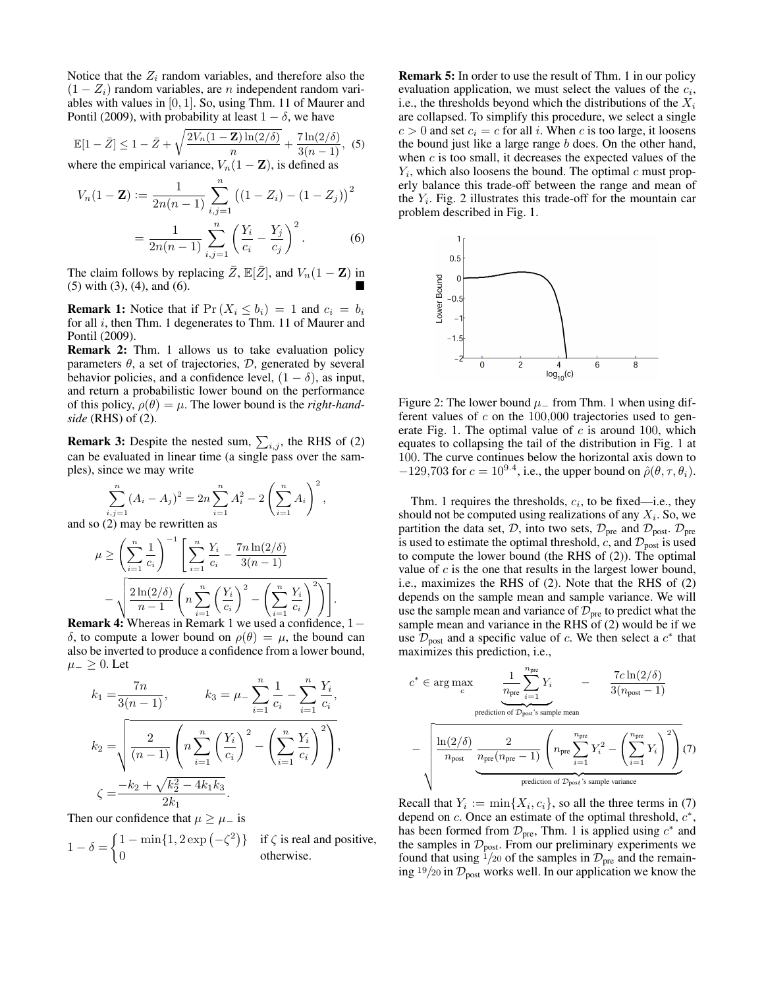Notice that the  $Z_i$  random variables, and therefore also the  $(1 - Z_i)$  random variables, are *n* independent random variables with values in [0, 1]. So, using Thm. 11 of Maurer and Pontil (2009), with probability at least  $1 - \delta$ , we have

$$
\mathbb{E}[1-\bar{Z}] \le 1 - \bar{Z} + \sqrt{\frac{2V_n(1-\mathbf{Z})\ln(2/\delta)}{n}} + \frac{7\ln(2/\delta)}{3(n-1)},
$$
 (5)

where the empirical variance,  $V_n(1 - \mathbf{Z})$ , is defined as

$$
V_n(1 - \mathbf{Z}) := \frac{1}{2n(n-1)} \sum_{i,j=1}^n ((1 - Z_i) - (1 - Z_j))^2
$$
  
= 
$$
\frac{1}{2n(n-1)} \sum_{i,j=1}^n \left(\frac{Y_i}{c_i} - \frac{Y_j}{c_j}\right)^2.
$$
 (6)

The claim follows by replacing  $\bar{Z}$ ,  $\mathbb{E}[\bar{Z}]$ , and  $V_n(1 - \mathbf{Z})$  in (5) with (3), (4), and (6).

**Remark 1:** Notice that if  $Pr(X_i \leq b_i) = 1$  and  $c_i = b_i$ for all *i*, then Thm. 1 degenerates to Thm. 11 of Maurer and Pontil (2009).

Remark 2: Thm. 1 allows us to take evaluation policy parameters  $\theta$ , a set of trajectories,  $\mathcal{D}$ , generated by several behavior policies, and a confidence level,  $(1 - \delta)$ , as input, and return a probabilistic lower bound on the performance of this policy,  $\rho(\theta) = \mu$ . The lower bound is the *right-handside* (RHS) of (2).

**Remark 3:** Despite the nested sum,  $\sum_{i,j}$ , the RHS of (2) can be evaluated in linear time (a single pass over the samples), since we may write

> $\overline{2}$ ,

$$
\sum_{i,j=1}^{n} (A_i - A_j)^2 = 2n \sum_{i=1}^{n} A_i^2 - 2\left(\sum_{i=1}^{n} A_i\right)
$$

and so (2) may be rewritten as

$$
\mu \ge \left(\sum_{i=1}^n \frac{1}{c_i}\right)^{-1} \left[\sum_{i=1}^n \frac{Y_i}{c_i} - \frac{7n \ln(2/\delta)}{3(n-1)} - \sqrt{\frac{2\ln(2/\delta)}{n-1} \left(n \sum_{i=1}^n \left(\frac{Y_i}{c_i}\right)^2 - \left(\sum_{i=1}^n \frac{Y_i}{c_i}\right)^2\right)}\right].
$$
  
ark 4: Whereas in Remark 1, we used a confidence

Remark 4: Whereas in Remark 1 we used a confidence, 1− δ, to compute a lower bound on  $ρ(θ) = μ$ , the bound can also be inverted to produce a confidence from a lower bound,  $\mu_$  ≥ 0. Let

$$
k_1 = \frac{7n}{3(n-1)}, \qquad k_3 = \mu - \sum_{i=1}^n \frac{1}{c_i} - \sum_{i=1}^n \frac{Y_i}{c_i},
$$

$$
k_2 = \sqrt{\frac{2}{(n-1)} \left( n \sum_{i=1}^n \left( \frac{Y_i}{c_i} \right)^2 - \left( \sum_{i=1}^n \frac{Y_i}{c_i} \right)^2 \right)},
$$

$$
\zeta = \frac{-k_2 + \sqrt{k_2^2 - 4k_1k_3}}{2k_1}.
$$

Then our confidence that  $\mu \geq \mu_{-}$  is

$$
1 - \delta = \begin{cases} 1 - \min\{1, 2 \exp(-\zeta^2)\} & \text{if } \zeta \text{ is real and positive,} \\ 0 & \text{otherwise.} \end{cases}
$$

Remark 5: In order to use the result of Thm. 1 in our policy evaluation application, we must select the values of the  $c_i$ , i.e., the thresholds beyond which the distributions of the  $X_i$ are collapsed. To simplify this procedure, we select a single  $c > 0$  and set  $c_i = c$  for all i. When c is too large, it loosens the bound just like a large range  $b$  does. On the other hand, when  $c$  is too small, it decreases the expected values of the  $Y_i$ , which also loosens the bound. The optimal  $c$  must properly balance this trade-off between the range and mean of the  $Y_i$ . Fig. 2 illustrates this trade-off for the mountain car problem described in Fig. 1.



Figure 2: The lower bound  $\mu$  from Thm. 1 when using different values of  $c$  on the 100,000 trajectories used to generate Fig. 1. The optimal value of  $c$  is around 100, which equates to collapsing the tail of the distribution in Fig. 1 at 100. The curve continues below the horizontal axis down to  $-129,703$  for  $c = 10^{9.4}$ , i.e., the upper bound on  $\hat{\rho}(\theta, \tau, \theta_i)$ .

Thm. 1 requires the thresholds,  $c_i$ , to be fixed—i.e., they should not be computed using realizations of any  $X_i$ . So, we partition the data set, D, into two sets,  $\mathcal{D}_{pre}$  and  $\mathcal{D}_{post}$ .  $\mathcal{D}_{pre}$ is used to estimate the optimal threshold, c, and  $\mathcal{D}_{\text{post}}$  is used to compute the lower bound (the RHS of (2)). The optimal value of  $c$  is the one that results in the largest lower bound, i.e., maximizes the RHS of (2). Note that the RHS of (2) depends on the sample mean and sample variance. We will use the sample mean and variance of  $\mathcal{D}_{\text{pre}}$  to predict what the sample mean and variance in the RHS of (2) would be if we use  $\mathcal{D}_{\text{post}}$  and a specific value of c. We then select a  $c^*$  that maximizes this prediction, i.e.,

$$
c^* \in \arg \max_{c} \underbrace{\frac{1}{n_{\text{pre}}}\sum_{i=1}^{n_{\text{pre}}}Y_i}_{\text{prediction of } \mathcal{D}_{\text{post}} \text{'s sample mean}} - \underbrace{\frac{7c\ln(2/\delta)}{3(n_{\text{post}}-1)}}_{\text{mpost}} - \underbrace{\left(\frac{\ln(2/\delta)}{n_{\text{pre}}}\sum_{i=1}^{2}\left(\frac{2}{n_{\text{pre}}}\sum_{i=1}^{n_{\text{pre}}}\sum_{i=1}^{n_{\text{pre}}}\sum_{i=1}^{2}\left(\sum_{i=1}^{n_{\text{pre}}}\sum_{i=1}^{2}\right)^2\right)}_{\text{prediction of } \mathcal{D}_{\text{post}} \text{'s sample variance}} (7)
$$

Recall that  $Y_i := \min\{X_i, c_i\}$ , so all the three terms in (7) depend on  $c$ . Once an estimate of the optimal threshold,  $c^*$ , has been formed from  $\mathcal{D}_{pre}$ , Thm. 1 is applied using  $c^*$  and the samples in  $\mathcal{D}_{\text{post}}$ . From our preliminary experiments we found that using  $\frac{1}{20}$  of the samples in  $\mathcal{D}_{pre}$  and the remaining  $19/20$  in  $\mathcal{D}_{\text{post}}$  works well. In our application we know the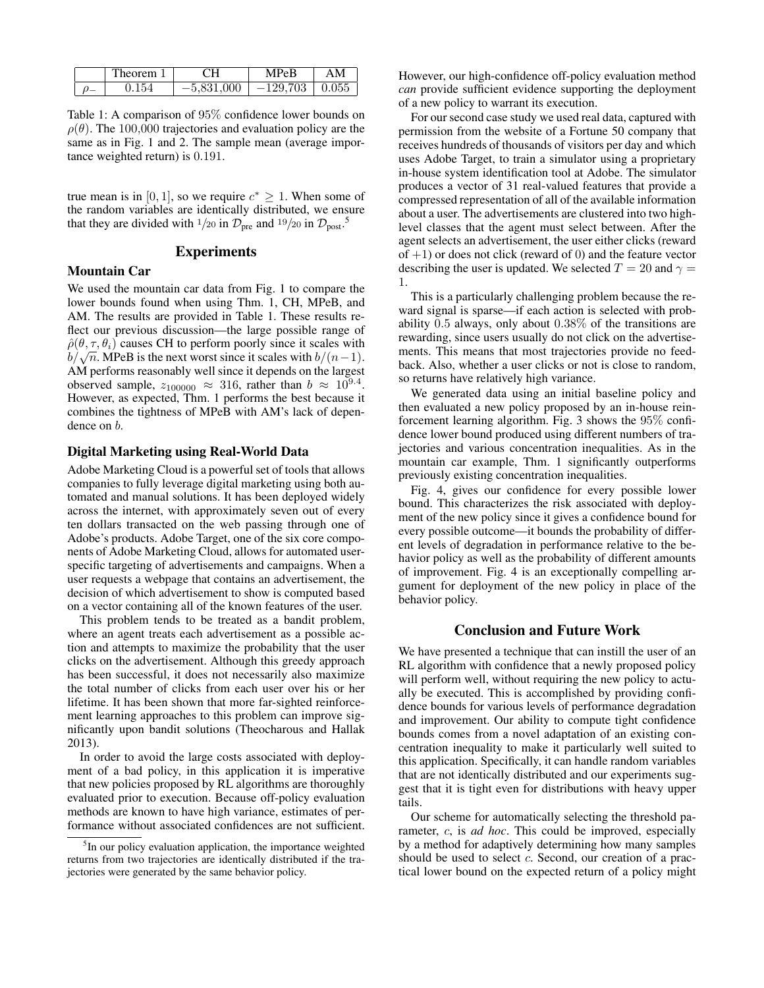| `heorem- | ٦Ц           | $^{\circ}$ $^{\prime}$ PeB | ۹M    |
|----------|--------------|----------------------------|-------|
| .154     | $-5,831,000$ | $-129,703$                 | 0.055 |

Table 1: A comparison of 95% confidence lower bounds on  $\rho(\theta)$ . The 100,000 trajectories and evaluation policy are the same as in Fig. 1 and 2. The sample mean (average importance weighted return) is 0.191.

true mean is in [0, 1], so we require  $c^* \geq 1$ . When some of the random variables are identically distributed, we ensure that they are divided with <sup>1</sup>/20 in  $\mathcal{D}_{\text{pre}}$  and <sup>19</sup>/20 in  $\mathcal{D}_{\text{post}}$ <sup>5</sup>.

#### Experiments

#### Mountain Car

We used the mountain car data from Fig. 1 to compare the lower bounds found when using Thm. 1, CH, MPeB, and AM. The results are provided in Table 1. These results reflect our previous discussion—the large possible range of  $\hat{\rho}(\theta, \tau, \theta_i)$  causes CH to perform poorly since it scales with  $\rho(\theta, \tau, \theta_i)$  causes CH to perform poorly since it scales with  $b/\sqrt{n}$ . MPeB is the next worst since it scales with  $b/(n-1)$ . AM performs reasonably well since it depends on the largest observed sample,  $z_{100000} \approx 316$ , rather than  $b \approx 10^{9.4}$ . However, as expected, Thm. 1 performs the best because it combines the tightness of MPeB with AM's lack of dependence on *.* 

## Digital Marketing using Real-World Data

Adobe Marketing Cloud is a powerful set of tools that allows companies to fully leverage digital marketing using both automated and manual solutions. It has been deployed widely across the internet, with approximately seven out of every ten dollars transacted on the web passing through one of Adobe's products. Adobe Target, one of the six core components of Adobe Marketing Cloud, allows for automated userspecific targeting of advertisements and campaigns. When a user requests a webpage that contains an advertisement, the decision of which advertisement to show is computed based on a vector containing all of the known features of the user.

This problem tends to be treated as a bandit problem, where an agent treats each advertisement as a possible action and attempts to maximize the probability that the user clicks on the advertisement. Although this greedy approach has been successful, it does not necessarily also maximize the total number of clicks from each user over his or her lifetime. It has been shown that more far-sighted reinforcement learning approaches to this problem can improve significantly upon bandit solutions (Theocharous and Hallak 2013).

In order to avoid the large costs associated with deployment of a bad policy, in this application it is imperative that new policies proposed by RL algorithms are thoroughly evaluated prior to execution. Because off-policy evaluation methods are known to have high variance, estimates of performance without associated confidences are not sufficient.

However, our high-confidence off-policy evaluation method *can* provide sufficient evidence supporting the deployment of a new policy to warrant its execution.

For our second case study we used real data, captured with permission from the website of a Fortune 50 company that receives hundreds of thousands of visitors per day and which uses Adobe Target, to train a simulator using a proprietary in-house system identification tool at Adobe. The simulator produces a vector of 31 real-valued features that provide a compressed representation of all of the available information about a user. The advertisements are clustered into two highlevel classes that the agent must select between. After the agent selects an advertisement, the user either clicks (reward of  $+1$ ) or does not click (reward of 0) and the feature vector describing the user is updated. We selected  $T = 20$  and  $\gamma =$ 1.

This is a particularly challenging problem because the reward signal is sparse—if each action is selected with probability 0.5 always, only about 0.38% of the transitions are rewarding, since users usually do not click on the advertisements. This means that most trajectories provide no feedback. Also, whether a user clicks or not is close to random, so returns have relatively high variance.

We generated data using an initial baseline policy and then evaluated a new policy proposed by an in-house reinforcement learning algorithm. Fig. 3 shows the 95% confidence lower bound produced using different numbers of trajectories and various concentration inequalities. As in the mountain car example, Thm. 1 significantly outperforms previously existing concentration inequalities.

Fig. 4, gives our confidence for every possible lower bound. This characterizes the risk associated with deployment of the new policy since it gives a confidence bound for every possible outcome—it bounds the probability of different levels of degradation in performance relative to the behavior policy as well as the probability of different amounts of improvement. Fig. 4 is an exceptionally compelling argument for deployment of the new policy in place of the behavior policy.

## Conclusion and Future Work

We have presented a technique that can instill the user of an RL algorithm with confidence that a newly proposed policy will perform well, without requiring the new policy to actually be executed. This is accomplished by providing confidence bounds for various levels of performance degradation and improvement. Our ability to compute tight confidence bounds comes from a novel adaptation of an existing concentration inequality to make it particularly well suited to this application. Specifically, it can handle random variables that are not identically distributed and our experiments suggest that it is tight even for distributions with heavy upper tails.

Our scheme for automatically selecting the threshold parameter, c, is *ad hoc*. This could be improved, especially by a method for adaptively determining how many samples should be used to select c. Second, our creation of a practical lower bound on the expected return of a policy might

<sup>&</sup>lt;sup>5</sup>In our policy evaluation application, the importance weighted returns from two trajectories are identically distributed if the trajectories were generated by the same behavior policy.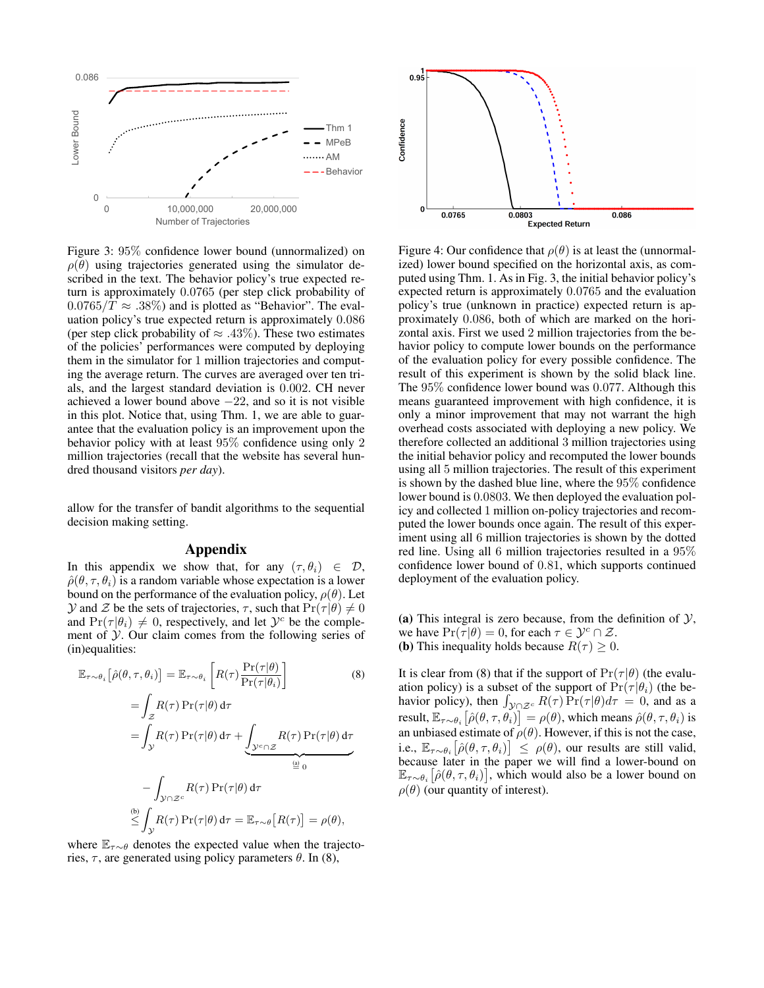

Figure 3: 95% confidence lower bound (unnormalized) on  $\rho(\theta)$  using trajectories generated using the simulator described in the text. The behavior policy's true expected return is approximately 0.0765 (per step click probability of  $0.0765/T \approx .38\%)$  and is plotted as "Behavior". The evaluation policy's true expected return is approximately 0.086 (per step click probability of  $\approx$  .43%). These two estimates of the policies' performances were computed by deploying them in the simulator for 1 million trajectories and computing the average return. The curves are averaged over ten trials, and the largest standard deviation is 0.002. CH never achieved a lower bound above  $-22$ , and so it is not visible in this plot. Notice that, using Thm. 1, we are able to guarantee that the evaluation policy is an improvement upon the behavior policy with at least 95% confidence using only 2 million trajectories (recall that the website has several hundred thousand visitors *per day*).

allow for the transfer of bandit algorithms to the sequential decision making setting.

#### Appendix

In this appendix we show that, for any  $(\tau, \theta_i) \in \mathcal{D}$ ,  $\hat{\rho}(\theta, \tau, \theta_i)$  is a random variable whose expectation is a lower bound on the performance of the evaluation policy,  $\rho(\theta)$ . Let  $\mathcal Y$  and  $\mathcal Z$  be the sets of trajectories,  $\tau$ , such that  $\Pr(\tau|\theta) \neq 0$ and  $Pr(\tau | \theta_i) \neq 0$ , respectively, and let  $\mathcal{Y}^c$  be the complement of  $\mathcal Y$ . Our claim comes from the following series of (in)equalities:

$$
\mathbb{E}_{\tau \sim \theta_i} [\hat{\rho}(\theta, \tau, \theta_i)] = \mathbb{E}_{\tau \sim \theta_i} \left[ R(\tau) \frac{\Pr(\tau | \theta)}{\Pr(\tau | \theta_i)} \right]
$$
(8)  

$$
= \int_{\mathcal{Z}} R(\tau) \Pr(\tau | \theta) d\tau
$$
  

$$
= \int_{\mathcal{Y}} R(\tau) \Pr(\tau | \theta) d\tau + \underbrace{\int_{\mathcal{Y}^c \cap \mathcal{Z}} R(\tau) \Pr(\tau | \theta) d\tau}_{\stackrel{\text{(a)}}{=} 0}
$$
  

$$
- \int_{\mathcal{Y} \cap \mathcal{Z}^c} R(\tau) \Pr(\tau | \theta) d\tau
$$
  

$$
\stackrel{\text{(b)}}{\leq} \int_{\mathcal{Y}} R(\tau) \Pr(\tau | \theta) d\tau = \mathbb{E}_{\tau \sim \theta} [R(\tau)] = \rho(\theta),
$$

where  $\mathbb{E}_{\tau \sim \theta}$  denotes the expected value when the trajectories,  $\tau$ , are generated using policy parameters  $\theta$ . In (8),



Figure 4: Our confidence that  $\rho(\theta)$  is at least the (unnormalized) lower bound specified on the horizontal axis, as computed using Thm. 1. As in Fig. 3, the initial behavior policy's expected return is approximately 0.0765 and the evaluation policy's true (unknown in practice) expected return is approximately 0.086, both of which are marked on the horizontal axis. First we used 2 million trajectories from the behavior policy to compute lower bounds on the performance of the evaluation policy for every possible confidence. The result of this experiment is shown by the solid black line. The 95% confidence lower bound was 0.077. Although this means guaranteed improvement with high confidence, it is only a minor improvement that may not warrant the high overhead costs associated with deploying a new policy. We therefore collected an additional 3 million trajectories using the initial behavior policy and recomputed the lower bounds using all 5 million trajectories. The result of this experiment is shown by the dashed blue line, where the 95% confidence lower bound is 0.0803. We then deployed the evaluation policy and collected 1 million on-policy trajectories and recomputed the lower bounds once again. The result of this experiment using all 6 million trajectories is shown by the dotted red line. Using all 6 million trajectories resulted in a 95% confidence lower bound of 0.81, which supports continued deployment of the evaluation policy.

(a) This integral is zero because, from the definition of  $\mathcal{Y}$ , we have  $Pr(\tau | \theta) = 0$ , for each  $\tau \in \mathcal{Y}^c \cap \mathcal{Z}$ . (b) This inequality holds because  $R(\tau) > 0$ .

It is clear from (8) that if the support of  $Pr(\tau | \theta)$  (the evaluation policy) is a subset of the support of  $Pr(\tau | \theta_i)$  (the behavior policy), then  $\int_{\mathcal{Y} \cap \mathcal{Z}^c} R(\tau) \Pr(\tau | \theta) d\tau = 0$ , and as a result,  $\mathbb{E}_{\tau \sim \theta_i} \big[ \hat{\rho}(\theta, \tau, \theta_i) \big] = \rho(\theta)$ , which means  $\hat{\rho}(\theta, \tau, \theta_i)$  is an unbiased estimate of  $\rho(\theta)$ . However, if this is not the case, i.e.,  $\mathbb{E}_{\tau \sim \theta_i} \left[ \hat{\rho}(\theta, \tau, \theta_i) \right] \leq \rho(\theta)$ , our results are still valid, because later in the paper we will find a lower-bound on  $\mathbb{E}_{\tau \sim \theta_i} [\hat{\rho}(\theta, \tau, \theta_i)]$ , which would also be a lower bound on  $\rho(\theta)$  (our quantity of interest).